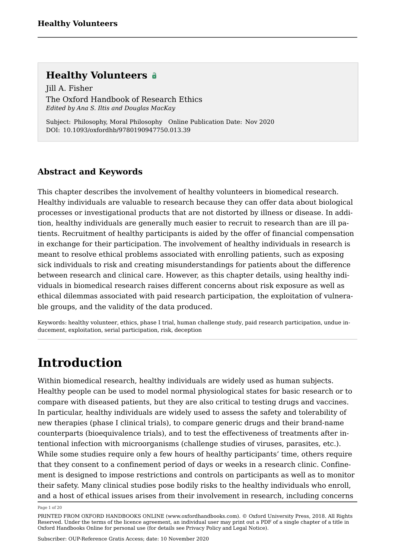Jill A. Fisher [The Oxford Handbook of Research Ethics](https://www.oxfordhandbooks.com/view/10.1093/oxfordhb/9780190947750.001.0001/oxfordhb-9780190947750) *Edited by Ana S. Iltis and Douglas MacKay*

Subject: Philosophy, Moral Philosophy Online Publication Date: Nov 2020 DOI: 10.1093/oxfordhb/9780190947750.013.39

### **Abstract and Keywords**

This chapter describes the involvement of healthy volunteers in biomedical research. Healthy individuals are valuable to research because they can offer data about biological processes or investigational products that are not distorted by illness or disease. In addition, healthy individuals are generally much easier to recruit to research than are ill patients. Recruitment of healthy participants is aided by the offer of financial compensation in exchange for their participation. The involvement of healthy individuals in research is meant to resolve ethical problems associated with enrolling patients, such as exposing sick individuals to risk and creating misunderstandings for patients about the difference between research and clinical care. However, as this chapter details, using healthy individuals in biomedical research raises different concerns about risk exposure as well as ethical dilemmas associated with paid research participation, the exploitation of vulnerable groups, and the validity of the data produced.

Keywords: [healthy volunteer,](https://www.oxfordhandbooks.com/search?f_0=keyword&q_0=healthy volunteer) [ethics,](https://www.oxfordhandbooks.com/search?f_0=keyword&q_0=ethics) [phase I trial](https://www.oxfordhandbooks.com/search?f_0=keyword&q_0=phase I trial), [human challenge study](https://www.oxfordhandbooks.com/search?f_0=keyword&q_0=human challenge study), [paid research participation,](https://www.oxfordhandbooks.com/search?f_0=keyword&q_0=paid research participation) [undue in](https://www.oxfordhandbooks.com/search?f_0=keyword&q_0=undue inducement)[ducement](https://www.oxfordhandbooks.com/search?f_0=keyword&q_0=undue inducement), [exploitation,](https://www.oxfordhandbooks.com/search?f_0=keyword&q_0=exploitation) [serial participation,](https://www.oxfordhandbooks.com/search?f_0=keyword&q_0=serial participation) [risk](https://www.oxfordhandbooks.com/search?f_0=keyword&q_0=risk), [deception](https://www.oxfordhandbooks.com/search?f_0=keyword&q_0=deception)

### **Introduction**

Within biomedical research, healthy individuals are widely used as human subjects. Healthy people can be used to model normal physiological states for basic research or to compare with diseased patients, but they are also critical to testing drugs and vaccines. In particular, healthy individuals are widely used to assess the safety and tolerability of new therapies (phase I clinical trials), to compare generic drugs and their brand-name counterparts (bioequivalence trials), and to test the effectiveness of treatments after intentional infection with microorganisms (challenge studies of viruses, parasites, etc.). While some studies require only a few hours of healthy participants' time, others require that they consent to a confinement period of days or weeks in a research clinic. Confinement is designed to impose restrictions and controls on participants as well as to monitor their safety. Many clinical studies pose bodily risks to the healthy individuals who enroll, and a host of ethical issues arises from their involvement in research, including concerns

Page 1 of 20

PRINTED FROM OXFORD HANDBOOKS ONLINE (www.oxfordhandbooks.com). © Oxford University Press, 2018. All Rights Reserved. Under the terms of the licence agreement, an individual user may print out a PDF of a single chapter of a title in Oxford Handbooks Online for personal use (for details see [Privacy Policy](https://global.oup.com/privacy) and [Legal Notice\)](https://www.oxfordhandbooks.com/page/legal-notice).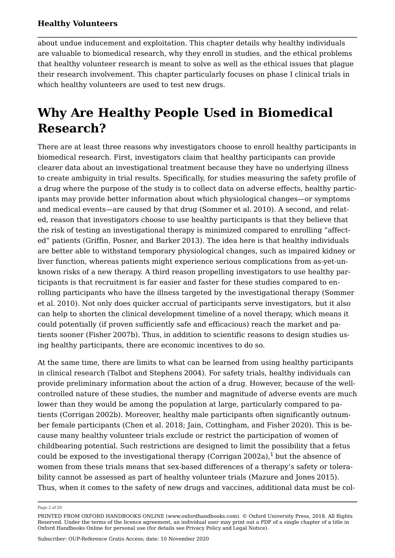about undue inducement and exploitation. This chapter details why healthy individuals are valuable to biomedical research, why they enroll in studies, and the ethical problems that healthy volunteer research is meant to solve as well as the ethical issues that plague their research involvement. This chapter particularly focuses on phase I clinical trials in which healthy volunteers are used to test new drugs.

## **Why Are Healthy People Used in Biomedical Research?**

There are at least three reasons why investigators choose to enroll healthy participants in biomedical research. First, investigators claim that healthy participants can provide clearer data about an investigational treatment because they have no underlying illness to create ambiguity in trial results. Specifically, for studies measuring the safety profile of a drug where the purpose of the study is to collect data on adverse effects, healthy participants may provide better information about which physiological changes—or symptoms and medical events—are caused by that drug (Sommer et al. [2010](#page-16-0)). A second, and related, reason that investigators choose to use healthy participants is that they believe that the risk of testing an investigational therapy is minimized compared to enrolling "affected" patients (Griffin, Posner, and Barker [2013](#page-13-0)). The idea here is that healthy individuals are better able to withstand temporary physiological changes, such as impaired kidney or liver function, whereas patients might experience serious complications from as-yet-unknown risks of a new therapy. A third reason propelling investigators to use healthy participants is that recruitment is far easier and faster for these studies compared to enrolling participants who have the illness targeted by the investigational therapy (Sommer et al. [2010\)](#page-16-0). Not only does quicker accrual of participants serve investigators, but it also can help to shorten the clinical development timeline of a novel therapy, which means it could potentially (if proven sufficiently safe and efficacious) reach the market and patients sooner (Fisher [2007b](#page-12-0)). Thus, in addition to scientific reasons to design studies using healthy participants, there are economic incentives to do so.

At the same time, there are limits to what can be learned from using healthy participants in clinical research (Talbot and Stephens [2004](#page-16-1)). For safety trials, healthy individuals can provide preliminary information about the action of a drug. However, because of the wellcontrolled nature of these studies, the number and magnitude of adverse events are much lower than they would be among the population at large, particularly compared to patients (Corrigan [2002b](#page-11-0)). Moreover, healthy male participants often significantly outnumber female participants (Chen et al. [2018;](#page-11-1) Jain, Cottingham, and Fisher [2020](#page-14-0)). This is because many healthy volunteer trials exclude or restrict the participation of women of childbearing potential. Such restrictions are designed to limit the possibility that a fetus could be exposed to the investigational therapy (Corrigan [2002a\)](#page-11-2), $1$  but the absence of women from these trials means that sex-based differences of a therapy's safety or tolerability cannot be assessed as part of healthy volunteer trials (Mazure and Jones [2015](#page-15-0)). Thus, when it comes to the safety of new drugs and vaccines, additional data must be col

<span id="page-1-0"></span>Page 2 of 20

PRINTED FROM OXFORD HANDBOOKS ONLINE (www.oxfordhandbooks.com). © Oxford University Press, 2018. All Rights Reserved. Under the terms of the licence agreement, an individual user may print out a PDF of a single chapter of a title in Oxford Handbooks Online for personal use (for details see [Privacy Policy](https://global.oup.com/privacy) and [Legal Notice\)](https://www.oxfordhandbooks.com/page/legal-notice).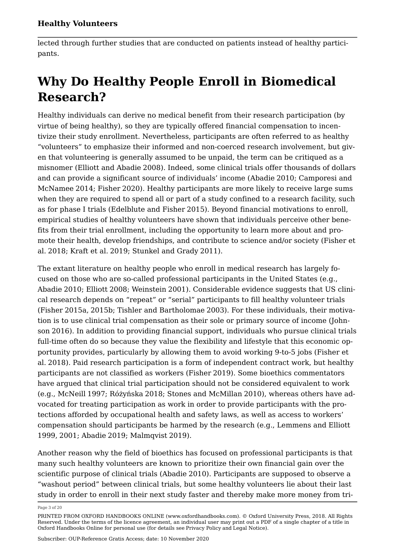lected through further studies that are conducted on patients instead of healthy participants.

# **Why Do Healthy People Enroll in Biomedical Research?**

Healthy individuals can derive no medical benefit from their research participation (by virtue of being healthy), so they are typically offered financial compensation to incentivize their study enrollment. Nevertheless, participants are often referred to as healthy "volunteers" to emphasize their informed and non-coerced research involvement, but given that volunteering is generally assumed to be unpaid, the term can be critiqued as a misnomer (Elliott and Abadie [2008](#page-12-1)). Indeed, some clinical trials offer thousands of dollars and can provide a significant source of individuals' income (Abadie [2010;](#page-10-0) Camporesi and McNamee [2014;](#page-10-1) Fisher [2020\)](#page-12-2). Healthy participants are more likely to receive large sums when they are required to spend all or part of a study confined to a research facility, such as for phase I trials (Edelblute and Fisher [2015](#page-12-3)). Beyond financial motivations to enroll, empirical studies of healthy volunteers have shown that individuals perceive other benefits from their trial enrollment, including the opportunity to learn more about and promote their health, develop friendships, and contribute to science and/or society (Fisher et al. [2018](#page-13-1); Kraft et al. [2019;](#page-14-1) Stunkel and Grady [2011](#page-16-2)).

The extant literature on healthy people who enroll in medical research has largely focused on those who are so-called professional participants in the United States (e.g., Abadie [2010;](#page-10-0) Elliott [2008;](#page-12-4) Weinstein [2001](#page-17-1)). Considerable evidence suggests that US clinical research depends on "repeat" or "serial" participants to fill healthy volunteer trials (Fisher [2015a](#page-12-5), [2015b](#page-12-6); Tishler and Bartholomae [2003](#page-17-2)). For these individuals, their motivation is to use clinical trial compensation as their sole or primary source of income (Johnson [2016\)](#page-14-2). In addition to providing financial support, individuals who pursue clinical trials full-time often do so because they value the flexibility and lifestyle that this economic opportunity provides, particularly by allowing them to avoid working 9-to-5 jobs (Fisher et al. [2018](#page-13-1)). Paid research participation is a form of independent contract work, but healthy participants are not classified as workers (Fisher [2019\)](#page-12-7). Some bioethics commentators have argued that clinical trial participation should not be considered equivalent to work (e.g., McNeill [1997](#page-15-1); Różyńska [2018](#page-16-3); Stones and McMillan [2010](#page-16-4)), whereas others have advocated for treating participation as work in order to provide participants with the protections afforded by occupational health and safety laws, as well as access to workers' compensation should participants be harmed by the research (e.g., Lemmens and Elliott [1999](#page-15-2), [2001](#page-15-3); Abadie [2019](#page-10-2); Malmqvist [2019\)](#page-15-4).

Another reason why the field of bioethics has focused on professional participants is that many such healthy volunteers are known to prioritize their own financial gain over the scientific purpose of clinical trials (Abadie [2010](#page-10-0)). Participants are supposed to observe a "washout period" between clinical trials, but some healthy volunteers lie about their last study in order to enroll in their next study faster and thereby make more money from tri

Page 3 of 20

PRINTED FROM OXFORD HANDBOOKS ONLINE (www.oxfordhandbooks.com). © Oxford University Press, 2018. All Rights Reserved. Under the terms of the licence agreement, an individual user may print out a PDF of a single chapter of a title in Oxford Handbooks Online for personal use (for details see [Privacy Policy](https://global.oup.com/privacy) and [Legal Notice\)](https://www.oxfordhandbooks.com/page/legal-notice).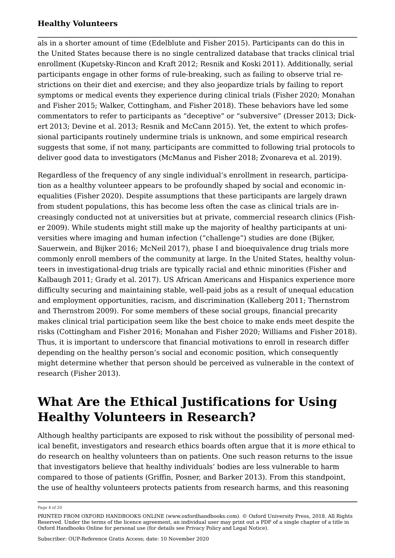als in a shorter amount of time (Edelblute and Fisher [2015\)](#page-12-3). Participants can do this in the United States because there is no single centralized database that tracks clinical trial enrollment (Kupetsky-Rincon and Kraft [2012](#page-14-3); Resnik and Koski [2011\)](#page-16-5). Additionally, serial participants engage in other forms of rule-breaking, such as failing to observe trial restrictions on their diet and exercise; and they also jeopardize trials by failing to report symptoms or medical events they experience during clinical trials (Fisher [2020](#page-12-2); Monahan and Fisher [2015](#page-15-5); Walker, Cottingham, and Fisher [2018](#page-17-3)). These behaviors have led some commentators to refer to participants as "deceptive" or "subversive" (Dresser [2013](#page-11-3); Dickert [2013;](#page-11-4) Devine et al. [2013;](#page-11-5) Resnik and McCann [2015](#page-16-6)). Yet, the extent to which professional participants routinely undermine trials is unknown, and some empirical research suggests that some, if not many, participants are committed to following trial protocols to deliver good data to investigators (McManus and Fisher [2018;](#page-15-6) Zvonareva et al. [2019](#page-17-4)).

Regardless of the frequency of any single individual's enrollment in research, participation as a healthy volunteer appears to be profoundly shaped by social and economic inequalities (Fisher [2020](#page-12-2)). Despite assumptions that these participants are largely drawn from student populations, this has become less often the case as clinical trials are increasingly conducted not at universities but at private, commercial research clinics (Fisher [2009](#page-12-8)). While students might still make up the majority of healthy participants at universities where imaging and human infection ("challenge") studies are done (Bijker, Sauerwein, and Bijker [2016](#page-10-3); McNeil [2017\)](#page-15-7), phase I and bioequivalence drug trials more commonly enroll members of the community at large. In the United States, healthy volunteers in investigational-drug trials are typically racial and ethnic minorities (Fisher and Kalbaugh [2011;](#page-13-2) Grady et al. [2017](#page-13-3)). US African Americans and Hispanics experience more difficulty securing and maintaining stable, well-paid jobs as a result of unequal education and employment opportunities, racism, and discrimination (Kalleberg [2011](#page-14-4); Thernstrom and Thernstrom [2009\)](#page-16-7). For some members of these social groups, financial precarity makes clinical trial participation seem like the best choice to make ends meet despite the risks (Cottingham and Fisher [2016](#page-11-6); Monahan and Fisher [2020;](#page-15-8) Williams and Fisher [2018\)](#page-17-5). Thus, it is important to underscore that financial motivations to enroll in research differ depending on the healthy person's social and economic position, which consequently might determine whether that person should be perceived as vulnerable in the context of research (Fisher [2013](#page-12-9)).

### **What Are the Ethical Justifications for Using Healthy Volunteers in Research?**

Although healthy participants are exposed to risk without the possibility of personal medical benefit, investigators and research ethics boards often argue that it is *more* ethical to do research on healthy volunteers than on patients. One such reason returns to the issue that investigators believe that healthy individuals' bodies are less vulnerable to harm compared to those of patients (Griffin, Posner, and Barker [2013](#page-13-0)). From this standpoint, the use of healthy volunteers protects patients from research harms, and this reasoning

Page 4 of 20

PRINTED FROM OXFORD HANDBOOKS ONLINE (www.oxfordhandbooks.com). © Oxford University Press, 2018. All Rights Reserved. Under the terms of the licence agreement, an individual user may print out a PDF of a single chapter of a title in Oxford Handbooks Online for personal use (for details see [Privacy Policy](https://global.oup.com/privacy) and [Legal Notice\)](https://www.oxfordhandbooks.com/page/legal-notice).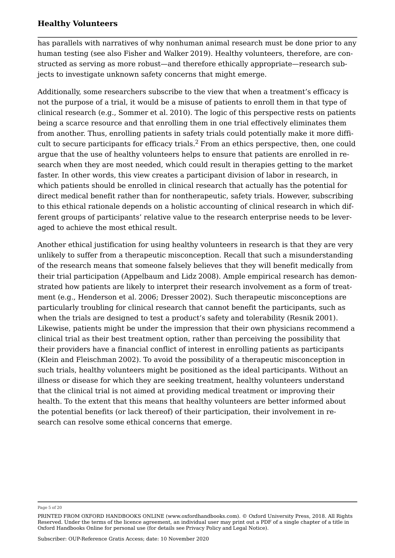has parallels with narratives of why nonhuman animal research must be done prior to any human testing (see also Fisher and Walker [2019](#page-13-4)). Healthy volunteers, therefore, are constructed as serving as more robust—and therefore ethically appropriate—research subjects to investigate unknown safety concerns that might emerge.

<span id="page-4-0"></span>Additionally, some researchers subscribe to the view that when a treatment's efficacy is not the purpose of a trial, it would be a misuse of patients to enroll them in that type of clinical research (e.g., Sommer et al. [2010\)](#page-16-0). The logic of this perspective rests on patients being a scarce resource and that enrolling them in one trial effectively eliminates them from another. Thus, enrolling patients in safety trials could potentially make it more diffi-cult to secure participants for efficacy trials.<sup>[2](#page-17-6)</sup> From an ethics perspective, then, one could argue that the use of healthy volunteers helps to ensure that patients are enrolled in research when they are most needed, which could result in therapies getting to the market faster. In other words, this view creates a participant division of labor in research, in which patients should be enrolled in clinical research that actually has the potential for direct medical benefit rather than for nontherapeutic, safety trials. However, subscribing to this ethical rationale depends on a holistic accounting of clinical research in which different groups of participants' relative value to the research enterprise needs to be leveraged to achieve the most ethical result.

Another ethical justification for using healthy volunteers in research is that they are very unlikely to suffer from a therapeutic misconception. Recall that such a misunderstanding of the research means that someone falsely believes that they will benefit medically from their trial participation (Appelbaum and Lidz [2008](#page-10-4)). Ample empirical research has demonstrated how patients are likely to interpret their research involvement as a form of treatment (e.g., Henderson et al. [2006](#page-13-5); Dresser [2002](#page-11-7)). Such therapeutic misconceptions are particularly troubling for clinical research that cannot benefit the participants, such as when the trials are designed to test a product's safety and tolerability (Resnik [2001](#page-16-8)). Likewise, patients might be under the impression that their own physicians recommend a clinical trial as their best treatment option, rather than perceiving the possibility that their providers have a financial conflict of interest in enrolling patients as participants (Klein and Fleischman [2002](#page-14-5)). To avoid the possibility of a therapeutic misconception in such trials, healthy volunteers might be positioned as the ideal participants. Without an illness or disease for which they are seeking treatment, healthy volunteers understand that the clinical trial is not aimed at providing medical treatment or improving their health. To the extent that this means that healthy volunteers are better informed about the potential benefits (or lack thereof) of their participation, their involvement in research can resolve some ethical concerns that emerge.

Page 5 of 20

PRINTED FROM OXFORD HANDBOOKS ONLINE (www.oxfordhandbooks.com). © Oxford University Press, 2018. All Rights Reserved. Under the terms of the licence agreement, an individual user may print out a PDF of a single chapter of a title in Oxford Handbooks Online for personal use (for details see [Privacy Policy](https://global.oup.com/privacy) and [Legal Notice\)](https://www.oxfordhandbooks.com/page/legal-notice).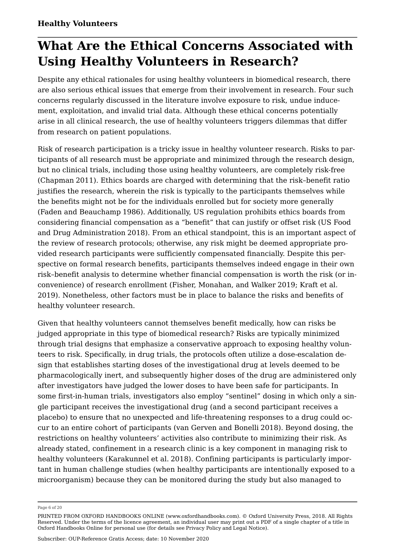## **What Are the Ethical Concerns Associated with Using Healthy Volunteers in Research?**

Despite any ethical rationales for using healthy volunteers in biomedical research, there are also serious ethical issues that emerge from their involvement in research. Four such concerns regularly discussed in the literature involve exposure to risk, undue inducement, exploitation, and invalid trial data. Although these ethical concerns potentially arise in all clinical research, the use of healthy volunteers triggers dilemmas that differ from research on patient populations.

Risk of research participation is a tricky issue in healthy volunteer research. Risks to participants of all research must be appropriate and minimized through the research design, but no clinical trials, including those using healthy volunteers, are completely risk-free (Chapman [2011](#page-11-8)). Ethics boards are charged with determining that the risk–benefit ratio justifies the research, wherein the risk is typically to the participants themselves while the benefits might not be for the individuals enrolled but for society more generally (Faden and Beauchamp [1986\)](#page-12-10). Additionally, US regulation prohibits ethics boards from considering financial compensation as a "benefit" that can justify or offset risk (US Food and Drug Administration [2018\)](#page-17-7). From an ethical standpoint, this is an important aspect of the review of research protocols; otherwise, any risk might be deemed appropriate provided research participants were sufficiently compensated financially. Despite this perspective on formal research benefits, participants themselves indeed engage in their own risk–benefit analysis to determine whether financial compensation is worth the risk (or inconvenience) of research enrollment (Fisher, Monahan, and Walker [2019](#page-13-6); Kraft et al. [2019](#page-14-1)). Nonetheless, other factors must be in place to balance the risks and benefits of healthy volunteer research.

Given that healthy volunteers cannot themselves benefit medically, how can risks be judged appropriate in this type of biomedical research? Risks are typically minimized through trial designs that emphasize a conservative approach to exposing healthy volunteers to risk. Specifically, in drug trials, the protocols often utilize a dose-escalation design that establishes starting doses of the investigational drug at levels deemed to be pharmacologically inert, and subsequently higher doses of the drug are administered only after investigators have judged the lower doses to have been safe for participants. In some first-in-human trials, investigators also employ "sentinel" dosing in which only a single participant receives the investigational drug (and a second participant receives a placebo) to ensure that no unexpected and life-threatening responses to a drug could occur to an entire cohort of participants (van Gerven and Bonelli [2018\)](#page-17-8). Beyond dosing, the restrictions on healthy volunteers' activities also contribute to minimizing their risk. As already stated, confinement in a research clinic is a key component in managing risk to healthy volunteers (Karakunnel et al. [2018](#page-14-6)). Confining participants is particularly important in human challenge studies (when healthy participants are intentionally exposed to a microorganism) because they can be monitored during the study but also managed to

Page 6 of 20

PRINTED FROM OXFORD HANDBOOKS ONLINE (www.oxfordhandbooks.com). © Oxford University Press, 2018. All Rights Reserved. Under the terms of the licence agreement, an individual user may print out a PDF of a single chapter of a title in Oxford Handbooks Online for personal use (for details see [Privacy Policy](https://global.oup.com/privacy) and [Legal Notice\)](https://www.oxfordhandbooks.com/page/legal-notice).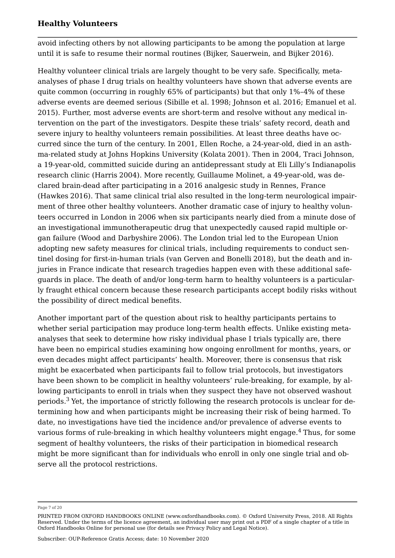avoid infecting others by not allowing participants to be among the population at large until it is safe to resume their normal routines (Bijker, Sauerwein, and Bijker [2016\)](#page-10-3).

Healthy volunteer clinical trials are largely thought to be very safe. Specifically, metaanalyses of phase I drug trials on healthy volunteers have shown that adverse events are quite common (occurring in roughly 65% of participants) but that only 1%–4% of these adverse events are deemed serious (Sibille et al. [1998;](#page-16-9) Johnson et al. [2016;](#page-14-7) Emanuel et al. [2015](#page-12-11)). Further, most adverse events are short-term and resolve without any medical intervention on the part of the investigators. Despite these trials' safety record, death and severe injury to healthy volunteers remain possibilities. At least three deaths have occurred since the turn of the century. In 2001, Ellen Roche, a 24-year-old, died in an asthma-related study at Johns Hopkins University (Kolata [2001\)](#page-14-8). Then in 2004, Traci Johnson, a 19-year-old, committed suicide during an antidepressant study at Eli Lilly's Indianapolis research clinic (Harris [2004](#page-13-7)). More recently, Guillaume Molinet, a 49-year-old, was declared brain-dead after participating in a 2016 analgesic study in Rennes, France (Hawkes [2016](#page-13-8)). That same clinical trial also resulted in the long-term neurological impairment of three other healthy volunteers. Another dramatic case of injury to healthy volunteers occurred in London in 2006 when six participants nearly died from a minute dose of an investigational immunotherapeutic drug that unexpectedly caused rapid multiple organ failure (Wood and Darbyshire [2006](#page-17-9)). The London trial led to the European Union adopting new safety measures for clinical trials, including requirements to conduct sentinel dosing for first-in-human trials (van Gerven and Bonelli [2018](#page-17-8)), but the death and injuries in France indicate that research tragedies happen even with these additional safeguards in place. The death of and/or long-term harm to healthy volunteers is a particularly fraught ethical concern because these research participants accept bodily risks without the possibility of direct medical benefits.

<span id="page-6-0"></span>Another important part of the question about risk to healthy participants pertains to whether serial participation may produce long-term health effects. Unlike existing metaanalyses that seek to determine how risky individual phase I trials typically are, there have been no empirical studies examining how ongoing enrollment for months, years, or even decades might affect participants' health. Moreover, there is consensus that risk might be exacerbated when participants fail to follow trial protocols, but investigators have been shown to be complicit in healthy volunteers' rule-breaking, for example, by allowing participants to enroll in trials when they suspect they have not observed washout periods.[3](#page-18-0) Yet, the importance of strictly following the research protocols is unclear for determining how and when participants might be increasing their risk of being harmed. To date, no investigations have tied the incidence and/or prevalence of adverse events to various forms of rule-breaking in which healthy volunteers might engage.<sup>[4](#page-18-1)</sup> Thus, for some segment of healthy volunteers, the risks of their participation in biomedical research might be more significant than for individuals who enroll in only one single trial and observe all the protocol restrictions.

<span id="page-6-1"></span>Page 7 of 20

PRINTED FROM OXFORD HANDBOOKS ONLINE (www.oxfordhandbooks.com). © Oxford University Press, 2018. All Rights Reserved. Under the terms of the licence agreement, an individual user may print out a PDF of a single chapter of a title in Oxford Handbooks Online for personal use (for details see [Privacy Policy](https://global.oup.com/privacy) and [Legal Notice\)](https://www.oxfordhandbooks.com/page/legal-notice).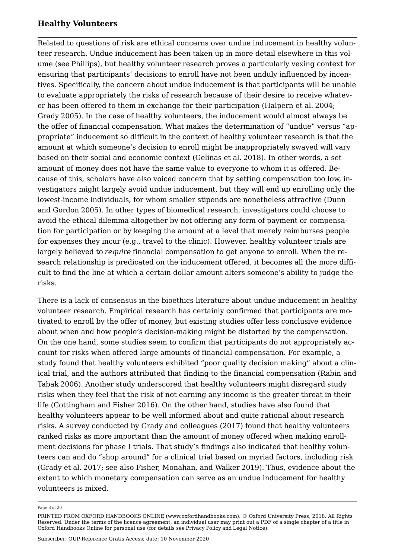Related to questions of risk are ethical concerns over undue inducement in healthy volunteer research. Undue inducement has been taken up in more detail elsewhere in this volume (see [Phillips\)](https://www.oxfordhandbooks.com/DocumentId/oxfordhb-9780190947750-e-15), but healthy volunteer research proves a particularly vexing context for ensuring that participants' decisions to enroll have not been unduly influenced by incentives. Specifically, the concern about undue inducement is that participants will be unable to evaluate appropriately the risks of research because of their desire to receive whatever has been offered to them in exchange for their participation (Halpern et al. [2004;](#page-13-9) Grady [2005](#page-13-10)). In the case of healthy volunteers, the inducement would almost always be the offer of financial compensation. What makes the determination of "undue" versus "appropriate" inducement so difficult in the context of healthy volunteer research is that the amount at which someone's decision to enroll might be inappropriately swayed will vary based on their social and economic context (Gelinas et al. [2018\)](#page-13-11). In other words, a set amount of money does not have the same value to everyone to whom it is offered. Because of this, scholars have also voiced concern that by setting compensation too low, investigators might largely avoid undue inducement, but they will end up enrolling only the lowest-income individuals, for whom smaller stipends are nonetheless attractive (Dunn and Gordon [2005\)](#page-12-12). In other types of biomedical research, investigators could choose to avoid the ethical dilemma altogether by not offering any form of payment or compensation for participation or by keeping the amount at a level that merely reimburses people for expenses they incur (e.g., travel to the clinic). However, healthy volunteer trials are largely believed to *require* financial compensation to get anyone to enroll. When the research relationship is predicated on the inducement offered, it becomes all the more difficult to find the line at which a certain dollar amount alters someone's ability to judge the risks.

There is a lack of consensus in the bioethics literature about undue inducement in healthy volunteer research. Empirical research has certainly confirmed that participants are motivated to enroll by the offer of money, but existing studies offer less conclusive evidence about when and how people's decision-making might be distorted by the compensation. On the one hand, some studies seem to confirm that participants do not appropriately account for risks when offered large amounts of financial compensation. For example, a study found that healthy volunteers exhibited "poor quality decision making" about a clinical trial, and the authors attributed that finding to the financial compensation (Rabin and Tabak [2006\)](#page-16-10). Another study underscored that healthy volunteers might disregard study risks when they feel that the risk of not earning any income is the greater threat in their life (Cottingham and Fisher [2016](#page-11-6)). On the other hand, studies have also found that healthy volunteers appear to be well informed about and quite rational about research risks. A survey conducted by Grady and colleagues ([2017](#page-13-3)) found that healthy volunteers ranked risks as more important than the amount of money offered when making enrollment decisions for phase I trials. That study's findings also indicated that healthy volunteers can and do "shop around" for a clinical trial based on myriad factors, including risk (Grady et al. [2017;](#page-13-3) see also Fisher, Monahan, and Walker [2019\)](#page-13-6). Thus, evidence about the extent to which monetary compensation can serve as an undue inducement for healthy volunteers is mixed.

Page 8 of 20

PRINTED FROM OXFORD HANDBOOKS ONLINE (www.oxfordhandbooks.com). © Oxford University Press, 2018. All Rights Reserved. Under the terms of the licence agreement, an individual user may print out a PDF of a single chapter of a title in Oxford Handbooks Online for personal use (for details see [Privacy Policy](https://global.oup.com/privacy) and [Legal Notice\)](https://www.oxfordhandbooks.com/page/legal-notice).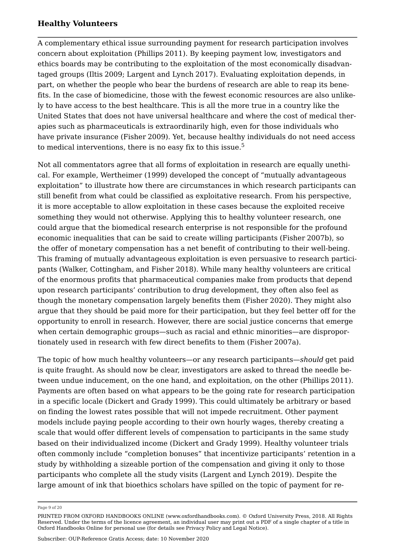A complementary ethical issue surrounding payment for research participation involves concern about exploitation (Phillips [2011\)](#page-15-9). By keeping payment low, investigators and ethics boards may be contributing to the exploitation of the most economically disadvantaged groups (Iltis [2009](#page-14-9); Largent and Lynch [2017](#page-14-10)). Evaluating exploitation depends, in part, on whether the people who bear the burdens of research are able to reap its benefits. In the case of biomedicine, those with the fewest economic resources are also unlikely to have access to the best healthcare. This is all the more true in a country like the United States that does not have universal healthcare and where the cost of medical therapies such as pharmaceuticals is extraordinarily high, even for those individuals who have private insurance (Fisher [2009](#page-12-8)). Yet, because healthy individuals do not need access to medical interventions, there is no easy fix to this issue.<sup>[5](#page-18-2)</sup>

<span id="page-8-0"></span>Not all commentators agree that all forms of exploitation in research are equally unethical. For example, Wertheimer ([1999](#page-17-10)) developed the concept of "mutually advantageous exploitation" to illustrate how there are circumstances in which research participants can still benefit from what could be classified as exploitative research. From his perspective, it is more acceptable to allow exploitation in these cases because the exploited receive something they would not otherwise. Applying this to healthy volunteer research, one could argue that the biomedical research enterprise is not responsible for the profound economic inequalities that can be said to create willing participants (Fisher [2007b](#page-12-0)), so the offer of monetary compensation has a net benefit of contributing to their well-being. This framing of mutually advantageous exploitation is even persuasive to research participants (Walker, Cottingham, and Fisher [2018\)](#page-17-3). While many healthy volunteers are critical of the enormous profits that pharmaceutical companies make from products that depend upon research participants' contribution to drug development, they often also feel as though the monetary compensation largely benefits them (Fisher [2020\)](#page-12-2). They might also argue that they should be paid more for their participation, but they feel better off for the opportunity to enroll in research. However, there are social justice concerns that emerge when certain demographic groups—such as racial and ethnic minorities—are disproportionately used in research with few direct benefits to them (Fisher [2007a](#page-12-13)).

The topic of how much healthy volunteers—or any research participants—*should* get paid is quite fraught. As should now be clear, investigators are asked to thread the needle between undue inducement, on the one hand, and exploitation, on the other (Phillips [2011](#page-15-9)). Payments are often based on what appears to be the going rate for research participation in a specific locale (Dickert and Grady [1999](#page-11-9)). This could ultimately be arbitrary or based on finding the lowest rates possible that will not impede recruitment. Other payment models include paying people according to their own hourly wages, thereby creating a scale that would offer different levels of compensation to participants in the same study based on their individualized income (Dickert and Grady [1999\)](#page-11-9). Healthy volunteer trials often commonly include "completion bonuses" that incentivize participants' retention in a study by withholding a sizeable portion of the compensation and giving it only to those participants who complete all the study visits (Largent and Lynch [2019\)](#page-14-11). Despite the large amount of ink that bioethics scholars have spilled on the topic of payment for re

Page 9 of 20

PRINTED FROM OXFORD HANDBOOKS ONLINE (www.oxfordhandbooks.com). © Oxford University Press, 2018. All Rights Reserved. Under the terms of the licence agreement, an individual user may print out a PDF of a single chapter of a title in Oxford Handbooks Online for personal use (for details see [Privacy Policy](https://global.oup.com/privacy) and [Legal Notice\)](https://www.oxfordhandbooks.com/page/legal-notice).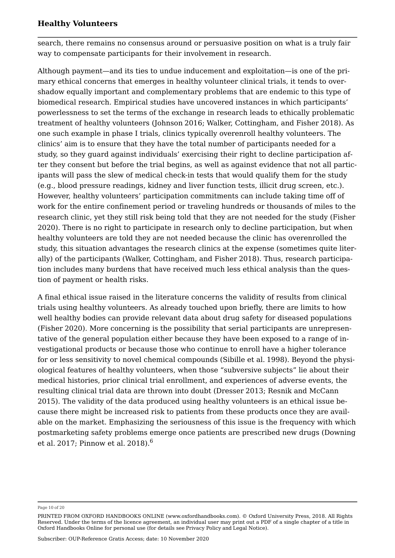search, there remains no consensus around or persuasive position on what is a truly fair way to compensate participants for their involvement in research.

Although payment—and its ties to undue inducement and exploitation—is one of the primary ethical concerns that emerges in healthy volunteer clinical trials, it tends to overshadow equally important and complementary problems that are endemic to this type of biomedical research. Empirical studies have uncovered instances in which participants' powerlessness to set the terms of the exchange in research leads to ethically problematic treatment of healthy volunteers (Johnson [2016;](#page-14-2) Walker, Cottingham, and Fisher [2018](#page-17-3)). As one such example in phase I trials, clinics typically overenroll healthy volunteers. The clinics' aim is to ensure that they have the total number of participants needed for a study, so they guard against individuals' exercising their right to decline participation after they consent but before the trial begins, as well as against evidence that not all participants will pass the slew of medical check-in tests that would qualify them for the study (e.g., blood pressure readings, kidney and liver function tests, illicit drug screen, etc.). However, healthy volunteers' participation commitments can include taking time off of work for the entire confinement period or traveling hundreds or thousands of miles to the research clinic, yet they still risk being told that they are not needed for the study (Fisher [2020](#page-12-2)). There is no right to participate in research only to decline participation, but when healthy volunteers are told they are not needed because the clinic has overenrolled the study, this situation advantages the research clinics at the expense (sometimes quite literally) of the participants (Walker, Cottingham, and Fisher [2018](#page-17-3)). Thus, research participation includes many burdens that have received much less ethical analysis than the question of payment or health risks.

A final ethical issue raised in the literature concerns the validity of results from clinical trials using healthy volunteers. As already touched upon briefly, there are limits to how well healthy bodies can provide relevant data about drug safety for diseased populations (Fisher [2020](#page-12-2)). More concerning is the possibility that serial participants are unrepresentative of the general population either because they have been exposed to a range of investigational products or because those who continue to enroll have a higher tolerance for or less sensitivity to novel chemical compounds (Sibille et al. [1998](#page-16-9)). Beyond the physiological features of healthy volunteers, when those "subversive subjects" lie about their medical histories, prior clinical trial enrollment, and experiences of adverse events, the resulting clinical trial data are thrown into doubt (Dresser [2013;](#page-11-3) Resnik and McCann [2015](#page-16-6)). The validity of the data produced using healthy volunteers is an ethical issue because there might be increased risk to patients from these products once they are available on the market. Emphasizing the seriousness of this issue is the frequency with which postmarketing safety problems emerge once patients are prescribed new drugs (Downing et al. [2017;](#page-11-10) Pinnow et al. [2018](#page-15-10)).[6](#page-18-3)

<span id="page-9-0"></span>Page 10 of 20

PRINTED FROM OXFORD HANDBOOKS ONLINE (www.oxfordhandbooks.com). © Oxford University Press, 2018. All Rights Reserved. Under the terms of the licence agreement, an individual user may print out a PDF of a single chapter of a title in Oxford Handbooks Online for personal use (for details see [Privacy Policy](https://global.oup.com/privacy) and [Legal Notice\)](https://www.oxfordhandbooks.com/page/legal-notice).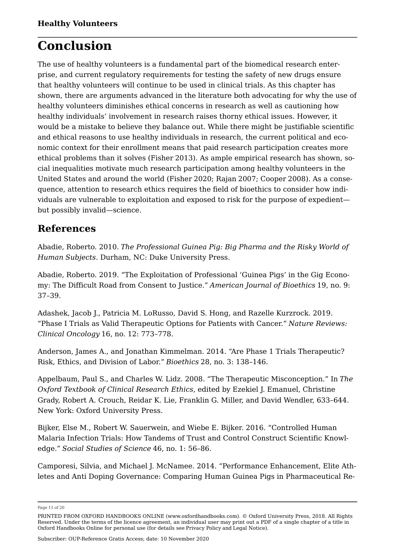## **Conclusion**

The use of healthy volunteers is a fundamental part of the biomedical research enterprise, and current regulatory requirements for testing the safety of new drugs ensure that healthy volunteers will continue to be used in clinical trials. As this chapter has shown, there are arguments advanced in the literature both advocating for why the use of healthy volunteers diminishes ethical concerns in research as well as cautioning how healthy individuals' involvement in research raises thorny ethical issues. However, it would be a mistake to believe they balance out. While there might be justifiable scientific and ethical reasons to use healthy individuals in research, the current political and economic context for their enrollment means that paid research participation creates more ethical problems than it solves (Fisher [2013](#page-12-9)). As ample empirical research has shown, social inequalities motivate much research participation among healthy volunteers in the United States and around the world (Fisher [2020;](#page-12-2) Rajan [2007;](#page-16-11) Cooper [2008](#page-11-11)). As a consequence, attention to research ethics requires the field of bioethics to consider how individuals are vulnerable to exploitation and exposed to risk for the purpose of expedient but possibly invalid—science.

### **References**

<span id="page-10-0"></span>Abadie, Roberto. 2010. *The Professional Guinea Pig: Big Pharma and the Risky World of Human Subjects*. Durham, NC: Duke University Press.

<span id="page-10-2"></span>Abadie, Roberto. 2019. "The Exploitation of Professional 'Guinea Pigs' in the Gig Economy: The Difficult Road from Consent to Justice." *American Journal of Bioethics* 19, no. 9: 37–39.

Adashek, Jacob J., Patricia M. LoRusso, David S. Hong, and Razelle Kurzrock. 2019. "Phase I Trials as Valid Therapeutic Options for Patients with Cancer." *Nature Reviews: Clinical Oncology* 16, no. 12: 773–778.

Anderson, James A., and Jonathan Kimmelman. 2014. "Are Phase 1 Trials Therapeutic? Risk, Ethics, and Division of Labor." *Bioethics* 28, no. 3: 138–146.

<span id="page-10-4"></span>Appelbaum, Paul S., and Charles W. Lidz. 2008. "The Therapeutic Misconception." In *The Oxford Textbook of Clinical Research Ethics*, edited by Ezekiel J. Emanuel, Christine Grady, Robert A. Crouch, Reidar K. Lie, Franklin G. Miller, and David Wendler, 633–644. New York: Oxford University Press.

<span id="page-10-3"></span>Bijker, Else M., Robert W. Sauerwein, and Wiebe E. Bijker. 2016. "Controlled Human Malaria Infection Trials: How Tandems of Trust and Control Construct Scientific Knowledge." *Social Studies of Science* 46, no. 1: 56–86.

<span id="page-10-1"></span>Camporesi, Silvia, and Michael J. McNamee. 2014. "Performance Enhancement, Elite Athletes and Anti Doping Governance: Comparing Human Guinea Pigs in Pharmaceutical Re

Page 11 of 20

PRINTED FROM OXFORD HANDBOOKS ONLINE (www.oxfordhandbooks.com). © Oxford University Press, 2018. All Rights Reserved. Under the terms of the licence agreement, an individual user may print out a PDF of a single chapter of a title in Oxford Handbooks Online for personal use (for details see [Privacy Policy](https://global.oup.com/privacy) and [Legal Notice\)](https://www.oxfordhandbooks.com/page/legal-notice).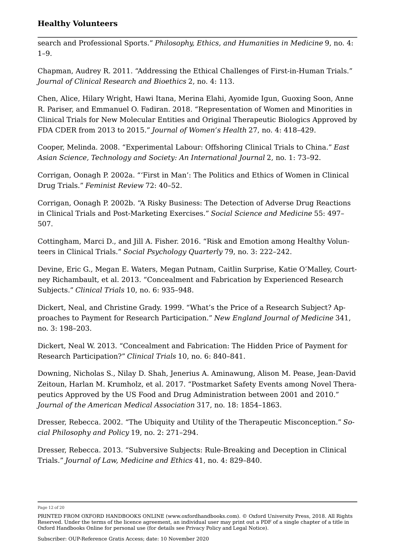search and Professional Sports." *Philosophy, Ethics, and Humanities in Medicine* 9, no. 4: 1–9.

<span id="page-11-8"></span>Chapman, Audrey R. 2011. "Addressing the Ethical Challenges of First-in-Human Trials." *Journal of Clinical Research and Bioethics* 2, no. 4: 113.

<span id="page-11-1"></span>Chen, Alice, Hilary Wright, Hawi Itana, Merina Elahi, Ayomide Igun, Guoxing Soon, Anne R. Pariser, and Emmanuel O. Fadiran. 2018. "Representation of Women and Minorities in Clinical Trials for New Molecular Entities and Original Therapeutic Biologics Approved by FDA CDER from 2013 to 2015." *Journal of Women's Health* 27, no. 4: 418–429.

<span id="page-11-11"></span>Cooper, Melinda. 2008. "Experimental Labour: Offshoring Clinical Trials to China." *East Asian Science, Technology and Society: An International Journal* 2, no. 1: 73–92.

<span id="page-11-2"></span>Corrigan, Oonagh P. 2002a. "'First in Man': The Politics and Ethics of Women in Clinical Drug Trials." *Feminist Review* 72: 40–52.

<span id="page-11-0"></span>Corrigan, Oonagh P. 2002b. "A Risky Business: The Detection of Adverse Drug Reactions in Clinical Trials and Post-Marketing Exercises." *Social Science and Medicine* 55: 497– 507.

<span id="page-11-6"></span>Cottingham, Marci D., and Jill A. Fisher. 2016. "Risk and Emotion among Healthy Volunteers in Clinical Trials." *Social Psychology Quarterly* 79, no. 3: 222–242.

<span id="page-11-5"></span>Devine, Eric G., Megan E. Waters, Megan Putnam, Caitlin Surprise, Katie O'Malley, Courtney Richambault, et al. 2013. "Concealment and Fabrication by Experienced Research Subjects." *Clinical Trials* 10, no. 6: 935–948.

<span id="page-11-9"></span>Dickert, Neal, and Christine Grady. 1999. "What's the Price of a Research Subject? Approaches to Payment for Research Participation." *New England Journal of Medicine* 341, no. 3: 198–203.

<span id="page-11-4"></span>Dickert, Neal W. 2013. "Concealment and Fabrication: The Hidden Price of Payment for Research Participation?" *Clinical Trials* 10, no. 6: 840–841.

<span id="page-11-10"></span>Downing, Nicholas S., Nilay D. Shah, Jenerius A. Aminawung, Alison M. Pease, Jean-David Zeitoun, Harlan M. Krumholz, et al. 2017. "Postmarket Safety Events among Novel Therapeutics Approved by the US Food and Drug Administration between 2001 and 2010." *Journal of the American Medical Association* 317, no. 18: 1854–1863.

<span id="page-11-7"></span>Dresser, Rebecca. 2002. "The Ubiquity and Utility of the Therapeutic Misconception." *Social Philosophy and Policy* 19, no. 2: 271–294.

<span id="page-11-3"></span>Dresser, Rebecca. 2013. "Subversive Subjects: Rule-Breaking and Deception in Clinical Trials." *Journal of Law, Medicine and Ethics* 41, no. 4: 829–840.

Page 12 of 20

PRINTED FROM OXFORD HANDBOOKS ONLINE (www.oxfordhandbooks.com). © Oxford University Press, 2018. All Rights Reserved. Under the terms of the licence agreement, an individual user may print out a PDF of a single chapter of a title in Oxford Handbooks Online for personal use (for details see [Privacy Policy](https://global.oup.com/privacy) and [Legal Notice\)](https://www.oxfordhandbooks.com/page/legal-notice).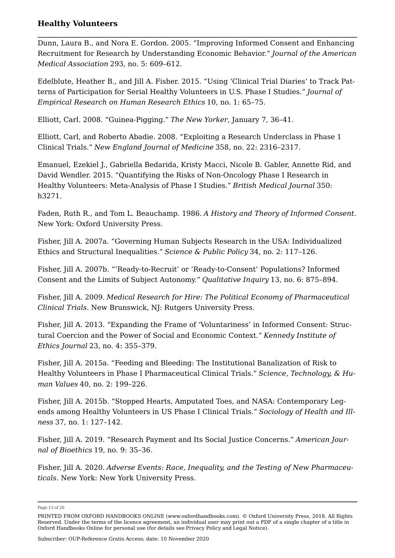<span id="page-12-12"></span>Dunn, Laura B., and Nora E. Gordon. 2005. "Improving Informed Consent and Enhancing Recruitment for Research by Understanding Economic Behavior." *Journal of the American Medical Association* 293, no. 5: 609–612.

<span id="page-12-3"></span>Edelblute, Heather B., and Jill A. Fisher. 2015. "Using 'Clinical Trial Diaries' to Track Patterns of Participation for Serial Healthy Volunteers in U.S. Phase I Studies." *Journal of Empirical Research on Human Research Ethics* 10, no. 1: 65–75.

<span id="page-12-4"></span>Elliott, Carl. 2008. "Guinea-Pigging." *The New Yorker*, January 7, 36–41.

<span id="page-12-1"></span>Elliott, Carl, and Roberto Abadie. 2008. "Exploiting a Research Underclass in Phase 1 Clinical Trials." *New England Journal of Medicine* 358, no. 22: 2316–2317.

<span id="page-12-11"></span>Emanuel, Ezekiel J., Gabriella Bedarida, Kristy Macci, Nicole B. Gabler, Annette Rid, and David Wendler. 2015. "Quantifying the Risks of Non-Oncology Phase I Research in Healthy Volunteers: Meta-Analysis of Phase I Studies." *British Medical Journal* 350: h3271.

<span id="page-12-10"></span>Faden, Ruth R., and Tom L. Beauchamp. 1986. *A History and Theory of Informed Consent*. New York: Oxford University Press.

<span id="page-12-13"></span>Fisher, Jill A. 2007a. "Governing Human Subjects Research in the USA: Individualized Ethics and Structural Inequalities." *Science & Public Policy* 34, no. 2: 117–126.

<span id="page-12-0"></span>Fisher, Jill A. 2007b. "'Ready-to-Recruit' or 'Ready-to-Consent' Populations? Informed Consent and the Limits of Subject Autonomy." *Qualitative Inquiry* 13, no. 6: 875–894.

<span id="page-12-8"></span>Fisher, Jill A. 2009. *Medical Research for Hire: The Political Economy of Pharmaceutical Clinical Trials*. New Brunswick, NJ: Rutgers University Press.

<span id="page-12-9"></span>Fisher, Jill A. 2013. "Expanding the Frame of 'Voluntariness' in Informed Consent: Structural Coercion and the Power of Social and Economic Context." *Kennedy Institute of Ethics Journal* 23, no. 4: 355–379.

<span id="page-12-5"></span>Fisher, Jill A. 2015a. "Feeding and Bleeding: The Institutional Banalization of Risk to Healthy Volunteers in Phase I Pharmaceutical Clinical Trials." *Science, Technology, & Human Values* 40, no. 2: 199–226.

<span id="page-12-6"></span>Fisher, Jill A. 2015b. "Stopped Hearts, Amputated Toes, and NASA: Contemporary Legends among Healthy Volunteers in US Phase I Clinical Trials." *Sociology of Health and Illness* 37, no. 1: 127–142.

<span id="page-12-7"></span>Fisher, Jill A. 2019. "Research Payment and Its Social Justice Concerns." *American Journal of Bioethics* 19, no. 9: 35–36.

<span id="page-12-2"></span>Fisher, Jill A. 2020. *Adverse Events: Race, Inequality, and the Testing of New Pharmaceuticals*. New York: New York University Press.

Page 13 of 20

PRINTED FROM OXFORD HANDBOOKS ONLINE (www.oxfordhandbooks.com). © Oxford University Press, 2018. All Rights Reserved. Under the terms of the licence agreement, an individual user may print out a PDF of a single chapter of a title in Oxford Handbooks Online for personal use (for details see [Privacy Policy](https://global.oup.com/privacy) and [Legal Notice\)](https://www.oxfordhandbooks.com/page/legal-notice).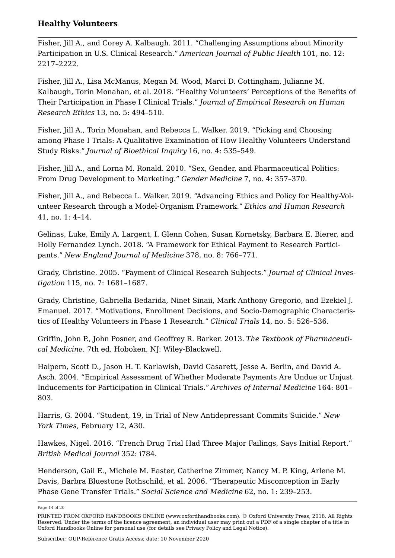<span id="page-13-2"></span>Fisher, Jill A., and Corey A. Kalbaugh. 2011. "Challenging Assumptions about Minority Participation in U.S. Clinical Research." *American Journal of Public Health* 101, no. 12: 2217–2222.

<span id="page-13-1"></span>Fisher, Jill A., Lisa McManus, Megan M. Wood, Marci D. Cottingham, Julianne M. Kalbaugh, Torin Monahan, et al. 2018. "Healthy Volunteers' Perceptions of the Benefits of Their Participation in Phase I Clinical Trials." *Journal of Empirical Research on Human Research Ethics* 13, no. 5: 494–510.

<span id="page-13-6"></span>Fisher, Jill A., Torin Monahan, and Rebecca L. Walker. 2019. "Picking and Choosing among Phase I Trials: A Qualitative Examination of How Healthy Volunteers Understand Study Risks." *Journal of Bioethical Inquiry* 16, no. 4: 535–549.

Fisher, Jill A., and Lorna M. Ronald. 2010. "Sex, Gender, and Pharmaceutical Politics: From Drug Development to Marketing." *Gender Medicine* 7, no. 4: 357–370.

<span id="page-13-4"></span>Fisher, Jill A., and Rebecca L. Walker. 2019. "Advancing Ethics and Policy for Healthy-Volunteer Research through a Model-Organism Framework." *Ethics and Human Research* 41, no. 1: 4–14.

<span id="page-13-11"></span>Gelinas, Luke, Emily A. Largent, I. Glenn Cohen, Susan Kornetsky, Barbara E. Bierer, and Holly Fernandez Lynch. 2018. "A Framework for Ethical Payment to Research Participants." *New England Journal of Medicine* 378, no. 8: 766–771.

<span id="page-13-10"></span>Grady, Christine. 2005. "Payment of Clinical Research Subjects." *Journal of Clinical Investigation* 115, no. 7: 1681–1687.

<span id="page-13-3"></span>Grady, Christine, Gabriella Bedarida, Ninet Sinaii, Mark Anthony Gregorio, and Ezekiel J. Emanuel. 2017. "Motivations, Enrollment Decisions, and Socio-Demographic Characteristics of Healthy Volunteers in Phase 1 Research." *Clinical Trials* 14, no. 5: 526–536.

<span id="page-13-0"></span>Griffin, John P., John Posner, and Geoffrey R. Barker. 2013. *The Textbook of Pharmaceutical Medicine*. 7th ed. Hoboken, NJ: Wiley-Blackwell.

<span id="page-13-9"></span>Halpern, Scott D., Jason H. T. Karlawish, David Casarett, Jesse A. Berlin, and David A. Asch. 2004. "Empirical Assessment of Whether Moderate Payments Are Undue or Unjust Inducements for Participation in Clinical Trials." *Archives of Internal Medicine* 164: 801– 803.

<span id="page-13-7"></span>Harris, G. 2004. "Student, 19, in Trial of New Antidepressant Commits Suicide." *New York Times*, February 12, A30.

<span id="page-13-8"></span>Hawkes, Nigel. 2016. "French Drug Trial Had Three Major Failings, Says Initial Report." *British Medical Journal* 352: i784.

<span id="page-13-5"></span>Henderson, Gail E., Michele M. Easter, Catherine Zimmer, Nancy M. P. King, Arlene M. Davis, Barbra Bluestone Rothschild, et al. 2006. "Therapeutic Misconception in Early Phase Gene Transfer Trials." *Social Science and Medicine* 62, no. 1: 239–253.

Page 14 of 20

PRINTED FROM OXFORD HANDBOOKS ONLINE (www.oxfordhandbooks.com). © Oxford University Press, 2018. All Rights Reserved. Under the terms of the licence agreement, an individual user may print out a PDF of a single chapter of a title in Oxford Handbooks Online for personal use (for details see [Privacy Policy](https://global.oup.com/privacy) and [Legal Notice\)](https://www.oxfordhandbooks.com/page/legal-notice).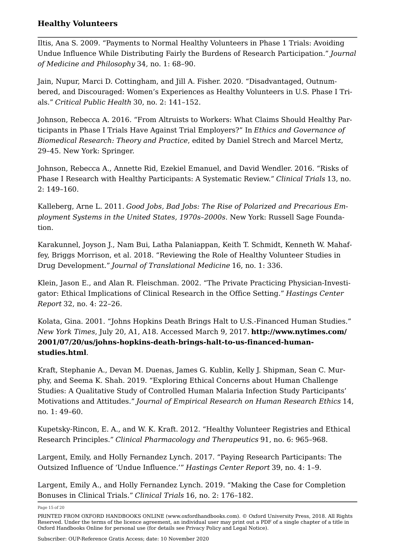<span id="page-14-9"></span>Iltis, Ana S. 2009. "Payments to Normal Healthy Volunteers in Phase 1 Trials: Avoiding Undue Influence While Distributing Fairly the Burdens of Research Participation." *Journal of Medicine and Philosophy* 34, no. 1: 68–90.

<span id="page-14-0"></span>Jain, Nupur, Marci D. Cottingham, and Jill A. Fisher. 2020. "Disadvantaged, Outnumbered, and Discouraged: Women's Experiences as Healthy Volunteers in U.S. Phase I Trials." *Critical Public Health* 30, no. 2: 141–152.

<span id="page-14-2"></span>Johnson, Rebecca A. 2016. "From Altruists to Workers: What Claims Should Healthy Participants in Phase I Trials Have Against Trial Employers?" In *Ethics and Governance of Biomedical Research: Theory and Practice*, edited by Daniel Strech and Marcel Mertz, 29–45. New York: Springer.

<span id="page-14-7"></span>Johnson, Rebecca A., Annette Rid, Ezekiel Emanuel, and David Wendler. 2016. "Risks of Phase I Research with Healthy Participants: A Systematic Review." *Clinical Trials* 13, no. 2: 149–160.

<span id="page-14-4"></span>Kalleberg, Arne L. 2011. *Good Jobs, Bad Jobs: The Rise of Polarized and Precarious Employment Systems in the United States, 1970s–2000s*. New York: Russell Sage Foundation.

<span id="page-14-6"></span>Karakunnel, Joyson J., Nam Bui, Latha Palaniappan, Keith T. Schmidt, Kenneth W. Mahaffey, Briggs Morrison, et al. 2018. "Reviewing the Role of Healthy Volunteer Studies in Drug Development." *Journal of Translational Medicine* 16, no. 1: 336.

<span id="page-14-5"></span>Klein, Jason E., and Alan R. Fleischman. 2002. "The Private Practicing Physician-Investigator: Ethical Implications of Clinical Research in the Office Setting." *Hastings Center Report* 32, no. 4: 22–26.

<span id="page-14-8"></span>Kolata, Gina. 2001. "Johns Hopkins Death Brings Halt to U.S.-Financed Human Studies." *New York Times*, July 20, A1, A18. Accessed March 9, 2017. **[http://www.nytimes.com/](http://www.nytimes.com/2001/07/20/us/johns-hopkins-death-brings-halt-to-us-financed-human-studies.html) [2001/07/20/us/johns-hopkins-death-brings-halt-to-us-financed-human](http://www.nytimes.com/2001/07/20/us/johns-hopkins-death-brings-halt-to-us-financed-human-studies.html)[studies.html](http://www.nytimes.com/2001/07/20/us/johns-hopkins-death-brings-halt-to-us-financed-human-studies.html)**.

<span id="page-14-1"></span>Kraft, Stephanie A., Devan M. Duenas, James G. Kublin, Kelly J. Shipman, Sean C. Murphy, and Seema K. Shah. 2019. "Exploring Ethical Concerns about Human Challenge Studies: A Qualitative Study of Controlled Human Malaria Infection Study Participants' Motivations and Attitudes." *Journal of Empirical Research on Human Research Ethics* 14, no. 1: 49–60.

<span id="page-14-3"></span>Kupetsky-Rincon, E. A., and W. K. Kraft. 2012. "Healthy Volunteer Registries and Ethical Research Principles." *Clinical Pharmacology and Therapeutics* 91, no. 6: 965–968.

<span id="page-14-10"></span>Largent, Emily, and Holly Fernandez Lynch. 2017. "Paying Research Participants: The Outsized Influence of 'Undue Influence.'" *Hastings Center Report* 39, no. 4: 1–9.

<span id="page-14-11"></span>Largent, Emily A., and Holly Fernandez Lynch. 2019. "Making the Case for Completion Bonuses in Clinical Trials." *Clinical Trials* 16, no. 2: 176–182.

Page 15 of 20

PRINTED FROM OXFORD HANDBOOKS ONLINE (www.oxfordhandbooks.com). © Oxford University Press, 2018. All Rights Reserved. Under the terms of the licence agreement, an individual user may print out a PDF of a single chapter of a title in Oxford Handbooks Online for personal use (for details see [Privacy Policy](https://global.oup.com/privacy) and [Legal Notice\)](https://www.oxfordhandbooks.com/page/legal-notice).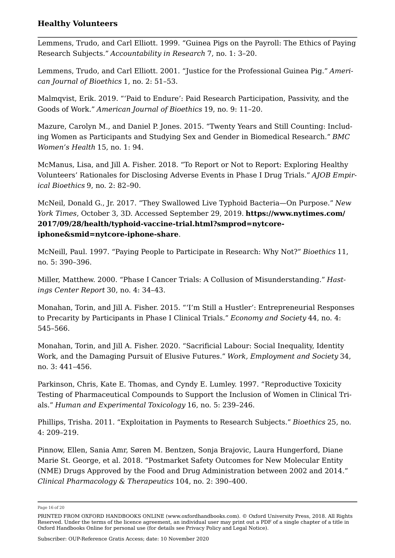<span id="page-15-2"></span>Lemmens, Trudo, and Carl Elliott. 1999. "Guinea Pigs on the Payroll: The Ethics of Paying Research Subjects." *Accountability in Research* 7, no. 1: 3–20.

<span id="page-15-3"></span>Lemmens, Trudo, and Carl Elliott. 2001. "Justice for the Professional Guinea Pig." *American Journal of Bioethics* 1, no. 2: 51–53.

<span id="page-15-4"></span>Malmqvist, Erik. 2019. "'Paid to Endure': Paid Research Participation, Passivity, and the Goods of Work." *American Journal of Bioethics* 19, no. 9: 11–20.

<span id="page-15-0"></span>Mazure, Carolyn M., and Daniel P. Jones. 2015. "Twenty Years and Still Counting: Including Women as Participants and Studying Sex and Gender in Biomedical Research." *BMC Women's Health* 15, no. 1: 94.

<span id="page-15-6"></span>McManus, Lisa, and Jill A. Fisher. 2018. "To Report or Not to Report: Exploring Healthy Volunteers' Rationales for Disclosing Adverse Events in Phase I Drug Trials." *AJOB Empirical Bioethics* 9, no. 2: 82–90.

<span id="page-15-7"></span>McNeil, Donald G., Jr. 2017. "They Swallowed Live Typhoid Bacteria—On Purpose." *New York Times*, October 3, 3D. Accessed September 29, 2019. **[https://www.nytimes.com/](https://www.nytimes.com/2017/09/28/health/typhoid-vaccine-trial.html?smprod=nytcore-iphone&smid=nytcore-iphone-share) [2017/09/28/health/typhoid-vaccine-trial.html?smprod=nytcore](https://www.nytimes.com/2017/09/28/health/typhoid-vaccine-trial.html?smprod=nytcore-iphone&smid=nytcore-iphone-share)[iphone&smid=nytcore-iphone-share](https://www.nytimes.com/2017/09/28/health/typhoid-vaccine-trial.html?smprod=nytcore-iphone&smid=nytcore-iphone-share)**.

<span id="page-15-1"></span>McNeill, Paul. 1997. "Paying People to Participate in Research: Why Not?" *Bioethics* 11, no. 5: 390–396.

Miller, Matthew. 2000. "Phase I Cancer Trials: A Collusion of Misunderstanding." *Hastings Center Report* 30, no. 4: 34–43.

<span id="page-15-5"></span>Monahan, Torin, and Jill A. Fisher. 2015. "'I'm Still a Hustler': Entrepreneurial Responses to Precarity by Participants in Phase I Clinical Trials." *Economy and Society* 44, no. 4: 545–566.

<span id="page-15-8"></span>Monahan, Torin, and Jill A. Fisher. 2020. "Sacrificial Labour: Social Inequality, Identity Work, and the Damaging Pursuit of Elusive Futures." *Work, Employment and Society* 34, no. 3: 441–456.

Parkinson, Chris, Kate E. Thomas, and Cyndy E. Lumley. 1997. "Reproductive Toxicity Testing of Pharmaceutical Compounds to Support the Inclusion of Women in Clinical Trials." *Human and Experimental Toxicology* 16, no. 5: 239–246.

<span id="page-15-9"></span>Phillips, Trisha. 2011. "Exploitation in Payments to Research Subjects." *Bioethics* 25, no. 4: 209–219.

<span id="page-15-10"></span>Pinnow, Ellen, Sania Amr, Søren M. Bentzen, Sonja Brajovic, Laura Hungerford, Diane Marie St. George, et al. 2018. "Postmarket Safety Outcomes for New Molecular Entity (NME) Drugs Approved by the Food and Drug Administration between 2002 and 2014." *Clinical Pharmacology & Therapeutics* 104, no. 2: 390–400.

Page 16 of 20

PRINTED FROM OXFORD HANDBOOKS ONLINE (www.oxfordhandbooks.com). © Oxford University Press, 2018. All Rights Reserved. Under the terms of the licence agreement, an individual user may print out a PDF of a single chapter of a title in Oxford Handbooks Online for personal use (for details see [Privacy Policy](https://global.oup.com/privacy) and [Legal Notice\)](https://www.oxfordhandbooks.com/page/legal-notice).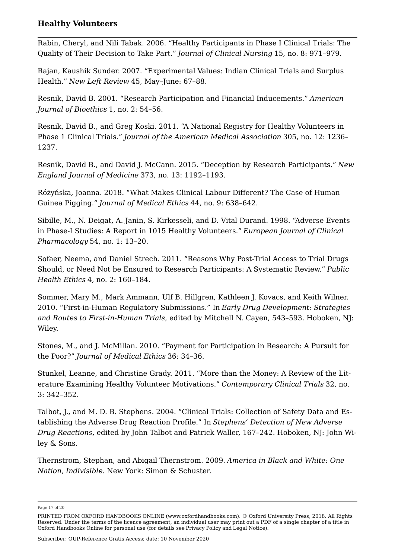<span id="page-16-10"></span>Rabin, Cheryl, and Nili Tabak. 2006. "Healthy Participants in Phase I Clinical Trials: The Quality of Their Decision to Take Part." *Journal of Clinical Nursing* 15, no. 8: 971–979.

<span id="page-16-11"></span>Rajan, Kaushik Sunder. 2007. "Experimental Values: Indian Clinical Trials and Surplus Health." *New Left Review* 45, May–June: 67–88.

<span id="page-16-8"></span>Resnik, David B. 2001. "Research Participation and Financial Inducements." *American Journal of Bioethics* 1, no. 2: 54–56.

<span id="page-16-5"></span>Resnik, David B., and Greg Koski. 2011. "A National Registry for Healthy Volunteers in Phase 1 Clinical Trials." *Journal of the American Medical Association* 305, no. 12: 1236– 1237.

<span id="page-16-6"></span>Resnik, David B., and David J. McCann. 2015. "Deception by Research Participants." *New England Journal of Medicine* 373, no. 13: 1192–1193.

<span id="page-16-3"></span>Różyńska, Joanna. 2018. "What Makes Clinical Labour Different? The Case of Human Guinea Pigging." *Journal of Medical Ethics* 44, no. 9: 638–642.

<span id="page-16-9"></span>Sibille, M., N. Deigat, A. Janin, S. Kirkesseli, and D. Vital Durand. 1998. "Adverse Events in Phase-I Studies: A Report in 1015 Healthy Volunteers." *European Journal of Clinical Pharmacology* 54, no. 1: 13–20.

Sofaer, Neema, and Daniel Strech. 2011. "Reasons Why Post-Trial Access to Trial Drugs Should, or Need Not be Ensured to Research Participants: A Systematic Review." *Public Health Ethics* 4, no. 2: 160–184.

<span id="page-16-0"></span>Sommer, Mary M., Mark Ammann, Ulf B. Hillgren, Kathleen J. Kovacs, and Keith Wilner. 2010. "First-in-Human Regulatory Submissions." In *Early Drug Development: Strategies and Routes to First-in-Human Trials*, edited by Mitchell N. Cayen, 543–593. Hoboken, NJ: Wiley.

<span id="page-16-4"></span>Stones, M., and J. McMillan. 2010. "Payment for Participation in Research: A Pursuit for the Poor?" *Journal of Medical Ethics* 36: 34–36.

<span id="page-16-2"></span>Stunkel, Leanne, and Christine Grady. 2011. "More than the Money: A Review of the Literature Examining Healthy Volunteer Motivations." *Contemporary Clinical Trials* 32, no. 3: 342–352.

<span id="page-16-1"></span>Talbot, J., and M. D. B. Stephens. 2004. "Clinical Trials: Collection of Safety Data and Establishing the Adverse Drug Reaction Profile." In *Stephens' Detection of New Adverse Drug Reactions*, edited by John Talbot and Patrick Waller, 167–242. Hoboken, NJ: John Wiley & Sons.

<span id="page-16-7"></span>Thernstrom, Stephan, and Abigail Thernstrom. 2009. *America in Black and White: One Nation, Indivisible*. New York: Simon & Schuster.

Page 17 of 20

Subscriber: OUP-Reference Gratis Access; date: 10 November 2020

PRINTED FROM OXFORD HANDBOOKS ONLINE (www.oxfordhandbooks.com). © Oxford University Press, 2018. All Rights Reserved. Under the terms of the licence agreement, an individual user may print out a PDF of a single chapter of a title in Oxford Handbooks Online for personal use (for details see [Privacy Policy](https://global.oup.com/privacy) and [Legal Notice\)](https://www.oxfordhandbooks.com/page/legal-notice).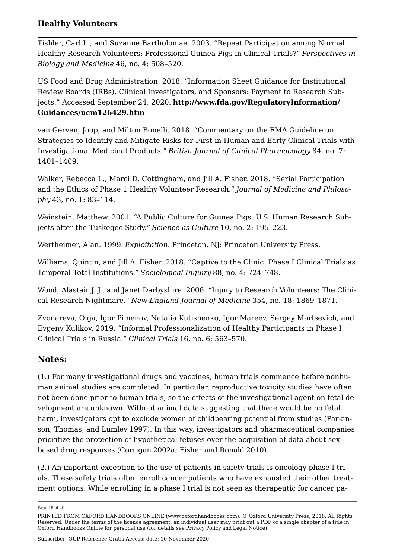<span id="page-17-2"></span>Tishler, Carl L., and Suzanne Bartholomae. 2003. "Repeat Participation among Normal Healthy Research Volunteers: Professional Guinea Pigs in Clinical Trials?" *Perspectives in Biology and Medicine* 46, no. 4: 508–520.

<span id="page-17-7"></span>US Food and Drug Administration. 2018. "Information Sheet Guidance for Institutional Review Boards (IRBs), Clinical Investigators, and Sponsors: Payment to Research Subjects." Accessed September 24, 2020. **[http://www.fda.gov/RegulatoryInformation/](http://www.fda.gov/RegulatoryInformation/Guidances/ucm126429.htm) [Guidances/ucm126429.htm](http://www.fda.gov/RegulatoryInformation/Guidances/ucm126429.htm)**

<span id="page-17-8"></span>van Gerven, Joop, and Milton Bonelli. 2018. "Commentary on the EMA Guideline on Strategies to Identify and Mitigate Risks for First‐in‐Human and Early Clinical Trials with Investigational Medicinal Products." *British Journal of Clinical Pharmacology* 84, no. 7: 1401–1409.

<span id="page-17-3"></span>Walker, Rebecca L., Marci D. Cottingham, and Jill A. Fisher. 2018. "Serial Participation and the Ethics of Phase 1 Healthy Volunteer Research." *Journal of Medicine and Philosophy* 43, no. 1: 83–114.

<span id="page-17-1"></span>Weinstein, Matthew. 2001. "A Public Culture for Guinea Pigs: U.S. Human Research Subjects after the Tuskegee Study." *Science as Culture* 10, no. 2: 195–223.

<span id="page-17-10"></span>Wertheimer, Alan. 1999. *Exploitation*. Princeton, NJ: Princeton University Press.

<span id="page-17-5"></span>Williams, Quintin, and Jill A. Fisher. 2018. "Captive to the Clinic: Phase I Clinical Trials as Temporal Total Institutions." *Sociological Inquiry* 88, no. 4: 724–748.

<span id="page-17-9"></span>Wood, Alastair J. J., and Janet Darbyshire. 2006. "Injury to Research Volunteers: The Clinical-Research Nightmare." *New England Journal of Medicine* 354, no. 18: 1869–1871.

<span id="page-17-4"></span>Zvonareva, Olga, Igor Pimenov, Natalia Kutishenko, Igor Mareev, Sergey Martsevich, and Evgeny Kulikov. 2019. "Informal Professionalization of Healthy Participants in Phase I Clinical Trials in Russia." *Clinical Trials* 16, no. 6: 563–570.

### **Notes:**

<span id="page-17-0"></span>([1.](#page-1-0)) For many investigational drugs and vaccines, human trials commence before nonhuman animal studies are completed. In particular, reproductive toxicity studies have often not been done prior to human trials, so the effects of the investigational agent on fetal development are unknown. Without animal data suggesting that there would be no fetal harm, investigators opt to exclude women of childbearing potential from studies (Parkinson, Thomas, and Lumley [1997\)](https://www.oxfordhandbooks.com/view/10.1093/oxfordhb/9780190947750.001.0001/oxfordhb-9780190947750-e-39#oxfordhb-9780190947750-e-39-bibItem-69). In this way, investigators and pharmaceutical companies prioritize the protection of hypothetical fetuses over the acquisition of data about sexbased drug responses (Corrigan [2002a;](https://www.oxfordhandbooks.com/view/10.1093/oxfordhb/9780190947750.001.0001/oxfordhb-9780190947750-e-39#oxfordhb-9780190947750-e-39-bibItem-11) Fisher and Ronald [2010\)](https://www.oxfordhandbooks.com/view/10.1093/oxfordhb/9780190947750.001.0001/oxfordhb-9780190947750-e-39#oxfordhb-9780190947750-e-39-bibItem-37).

<span id="page-17-6"></span>([2.](#page-4-0)) An important exception to the use of patients in safety trials is oncology phase I trials. These safety trials often enroll cancer patients who have exhausted their other treatment options. While enrolling in a phase I trial is not seen as therapeutic for cancer pa

Page 18 of 20

PRINTED FROM OXFORD HANDBOOKS ONLINE (www.oxfordhandbooks.com). © Oxford University Press, 2018. All Rights Reserved. Under the terms of the licence agreement, an individual user may print out a PDF of a single chapter of a title in Oxford Handbooks Online for personal use (for details see [Privacy Policy](https://global.oup.com/privacy) and [Legal Notice\)](https://www.oxfordhandbooks.com/page/legal-notice).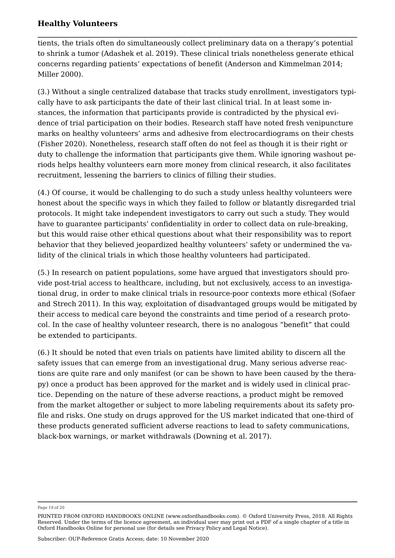tients, the trials often do simultaneously collect preliminary data on a therapy's potential to shrink a tumor (Adashek et al. [2019\)](https://www.oxfordhandbooks.com/view/10.1093/oxfordhb/9780190947750.001.0001/oxfordhb-9780190947750-e-39#oxfordhb-9780190947750-e-39-bibItem-3). These clinical trials nonetheless generate ethical concerns regarding patients' expectations of benefit (Anderson and Kimmelman [2014](https://www.oxfordhandbooks.com/view/10.1093/oxfordhb/9780190947750.001.0001/oxfordhb-9780190947750-e-39#oxfordhb-9780190947750-e-39-bibItem-4); Miller [2000](https://www.oxfordhandbooks.com/view/10.1093/oxfordhb/9780190947750.001.0001/oxfordhb-9780190947750-e-39#oxfordhb-9780190947750-e-39-bibItem-66)).

<span id="page-18-0"></span>([3.](#page-6-0)) Without a single centralized database that tracks study enrollment, investigators typically have to ask participants the date of their last clinical trial. In at least some instances, the information that participants provide is contradicted by the physical evidence of trial participation on their bodies. Research staff have noted fresh venipuncture marks on healthy volunteers' arms and adhesive from electrocardiograms on their chests (Fisher [2020](https://www.oxfordhandbooks.com/view/10.1093/oxfordhb/9780190947750.001.0001/oxfordhb-9780190947750-e-39#oxfordhb-9780190947750-e-39-bibItem-33)). Nonetheless, research staff often do not feel as though it is their right or duty to challenge the information that participants give them. While ignoring washout periods helps healthy volunteers earn more money from clinical research, it also facilitates recruitment, lessening the barriers to clinics of filling their studies.

<span id="page-18-1"></span>([4.\)](#page-6-1) Of course, it would be challenging to do such a study unless healthy volunteers were honest about the specific ways in which they failed to follow or blatantly disregarded trial protocols. It might take independent investigators to carry out such a study. They would have to guarantee participants' confidentiality in order to collect data on rule-breaking, but this would raise other ethical questions about what their responsibility was to report behavior that they believed jeopardized healthy volunteers' safety or undermined the validity of the clinical trials in which those healthy volunteers had participated.

<span id="page-18-2"></span>([5.](#page-8-0)) In research on patient populations, some have argued that investigators should provide post-trial access to healthcare, including, but not exclusively, access to an investigational drug, in order to make clinical trials in resource-poor contexts more ethical (Sofaer and Strech [2011](https://www.oxfordhandbooks.com/view/10.1093/oxfordhb/9780190947750.001.0001/oxfordhb-9780190947750-e-39#oxfordhb-9780190947750-e-39-bibItem-79)). In this way, exploitation of disadvantaged groups would be mitigated by their access to medical care beyond the constraints and time period of a research protocol. In the case of healthy volunteer research, there is no analogous "benefit" that could be extended to participants.

<span id="page-18-3"></span>([6.\)](#page-9-0) It should be noted that even trials on patients have limited ability to discern all the safety issues that can emerge from an investigational drug. Many serious adverse reactions are quite rare and only manifest (or can be shown to have been caused by the therapy) once a product has been approved for the market and is widely used in clinical practice. Depending on the nature of these adverse reactions, a product might be removed from the market altogether or subject to more labeling requirements about its safety profile and risks. One study on drugs approved for the US market indicated that one-third of these products generated sufficient adverse reactions to lead to safety communications, black-box warnings, or market withdrawals (Downing et al. [2017](https://www.oxfordhandbooks.com/view/10.1093/oxfordhb/9780190947750.001.0001/oxfordhb-9780190947750-e-39#oxfordhb-9780190947750-e-39-bibItem-17)).

Page 19 of 20

PRINTED FROM OXFORD HANDBOOKS ONLINE (www.oxfordhandbooks.com). © Oxford University Press, 2018. All Rights Reserved. Under the terms of the licence agreement, an individual user may print out a PDF of a single chapter of a title in Oxford Handbooks Online for personal use (for details see [Privacy Policy](https://global.oup.com/privacy) and [Legal Notice\)](https://www.oxfordhandbooks.com/page/legal-notice).